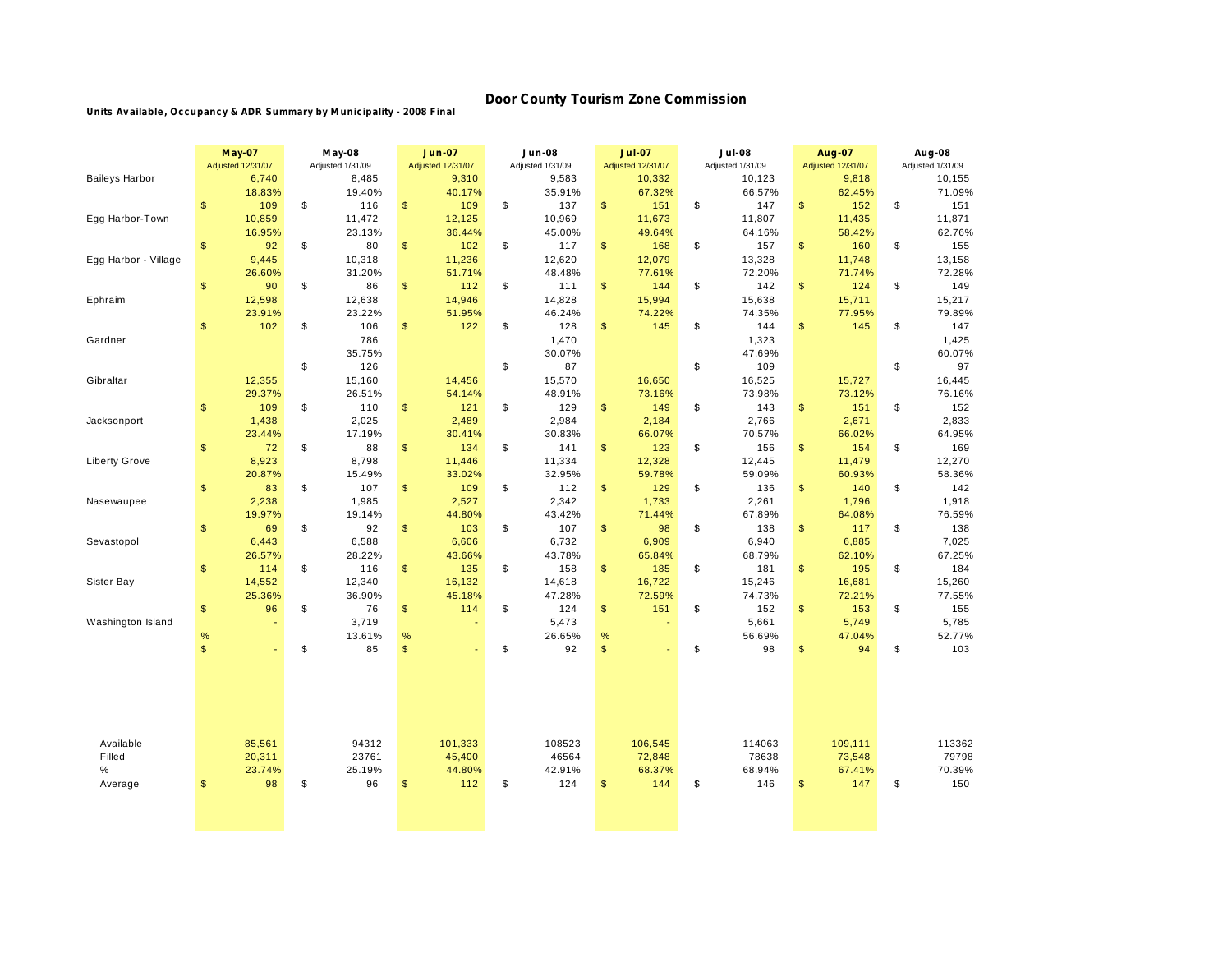## **Door County Tourism Zone Commission**

**Units Available, Occupancy & ADR Summary by M unicipality - 2008 Final**

|                       | <b>May-07</b><br>Adjusted 12/31/07 | <b>May-08</b><br>Adjusted 1/31/09 |      | <b>Jun-07</b><br><b>Adjusted 12/31/07</b> |    | <b>Jun-08</b><br>Adjusted 1/31/09 |               | <b>Jul-07</b><br><b>Adjusted 12/31/07</b> |    | <b>Jul-08</b><br>Adjusted 1/31/09 |               | <b>Aug-07</b><br>Adjusted 12/31/07 |    | Aug-08<br>Adjusted 1/31/09 |  |
|-----------------------|------------------------------------|-----------------------------------|------|-------------------------------------------|----|-----------------------------------|---------------|-------------------------------------------|----|-----------------------------------|---------------|------------------------------------|----|----------------------------|--|
| <b>Baileys Harbor</b> | 6,740                              | 8,485                             |      | 9,310                                     |    | 9,583                             |               | 10,332                                    |    | 10,123                            |               | 9,818                              |    | 10,155                     |  |
|                       | 18.83%                             | 19.40%                            |      | 40.17%                                    |    | 35.91%                            |               | 67.32%                                    |    | 66.57%                            |               | 62.45%                             |    | 71.09%                     |  |
|                       | $\sqrt[6]{\frac{1}{2}}$<br>109     | \$<br>116                         | \$   | 109                                       | \$ | 137                               | $\mathsf{\$}$ | 151                                       | \$ | 147                               | \$            | 152                                | \$ | 151                        |  |
| Egg Harbor-Town       | 10,859                             | 11,472                            |      | 12,125                                    |    | 10,969                            |               | 11,673                                    |    | 11,807                            |               | 11,435                             |    | 11,871                     |  |
|                       | 16.95%                             | 23.13%                            |      | 36.44%                                    |    | 45.00%                            |               | 49.64%                                    |    | 64.16%                            |               | 58.42%                             |    | 62.76%                     |  |
|                       | $\sqrt[6]{\frac{1}{2}}$<br>92      | \$<br>80                          | \$   | 102                                       | \$ | 117                               | $\mathsf{\$}$ | 168                                       | \$ | 157                               | $\frac{1}{2}$ | 160                                | \$ | 155                        |  |
| Egg Harbor - Village  | 9,445                              | 10,318                            |      | 11,236                                    |    | 12,620                            |               | 12,079                                    |    | 13,328                            |               | 11,748                             |    | 13,158                     |  |
|                       | 26.60%                             | 31.20%                            |      | 51.71%                                    |    | 48.48%                            |               | 77.61%                                    |    | 72.20%                            |               | 71.74%                             |    | 72.28%                     |  |
|                       | $\sqrt[6]{\frac{1}{2}}$<br>90      | \$<br>86                          | \$   | 112                                       | \$ | 111                               | \$            | 144                                       | \$ | 142                               | \$            | 124                                | \$ | 149                        |  |
| Ephraim               | 12,598                             | 12,638                            |      | 14,946                                    |    | 14,828                            |               | 15,994                                    |    | 15,638                            |               | 15,711                             |    | 15,217                     |  |
|                       | 23.91%                             | 23.22%                            |      | 51.95%                                    |    | 46.24%                            |               | 74.22%                                    |    | 74.35%                            |               | 77.95%                             |    | 79.89%                     |  |
|                       | $\frac{1}{2}$<br>102               | \$<br>106                         | \$   | 122                                       | \$ | 128                               | \$            | 145                                       | \$ | 144                               | \$            | 145                                | \$ | 147                        |  |
| Gardner               |                                    | 786                               |      |                                           |    | 1,470                             |               |                                           |    | 1,323                             |               |                                    |    | 1,425                      |  |
|                       |                                    | 35.75%                            |      |                                           |    | 30.07%                            |               |                                           |    | 47.69%                            |               |                                    |    | 60.07%                     |  |
|                       |                                    | \$<br>126                         |      |                                           | \$ | 87                                |               |                                           | \$ | 109                               |               |                                    | \$ | 97                         |  |
| Gibraltar             | 12,355                             | 15,160                            |      | 14,456                                    |    | 15,570                            |               | 16,650                                    |    | 16,525                            |               | 15,727                             |    | 16,445                     |  |
|                       | 29.37%                             | 26.51%                            |      | 54.14%                                    |    | 48.91%                            |               | 73.16%                                    |    | 73.98%                            |               | 73.12%                             |    | 76.16%                     |  |
|                       | 109<br>$\frac{1}{2}$               | \$<br>110                         | \$   | 121                                       | \$ | 129                               | \$            | 149                                       | \$ | 143                               | \$            | 151                                | \$ | 152                        |  |
| Jacksonport           | 1,438                              | 2,025                             |      | 2,489                                     |    | 2,984                             |               | 2,184                                     |    | 2,766                             |               | 2,671                              |    | 2,833                      |  |
|                       | 23.44%                             | 17.19%                            |      | 30.41%                                    |    | 30.83%                            |               | 66.07%                                    |    | 70.57%                            |               | 66.02%                             |    | 64.95%                     |  |
|                       | $\sqrt[6]{\frac{1}{2}}$<br>72      | \$<br>88                          | \$   | 134                                       | \$ | 141                               | \$            | 123                                       | \$ | 156                               | \$            | 154                                | \$ | 169                        |  |
| <b>Liberty Grove</b>  | 8,923                              | 8,798                             |      | 11,446                                    |    | 11,334                            |               | 12,328                                    |    | 12,445                            |               | 11,479                             |    | 12,270                     |  |
|                       | 20.87%                             | 15.49%                            |      | 33.02%                                    |    | 32.95%                            |               | 59.78%                                    |    | 59.09%                            |               | 60.93%                             |    | 58.36%                     |  |
|                       | $\,$<br>83                         | \$<br>107                         | \$   | 109                                       | \$ | 112                               | \$            | 129                                       | \$ | 136                               | \$            | 140                                | \$ | 142                        |  |
| Nasewaupee            | 2,238                              | 1,985                             |      | 2,527                                     |    | 2,342                             |               | 1,733                                     |    | 2,261                             |               | 1,796                              |    | 1,918                      |  |
|                       | 19.97%                             | 19.14%                            |      | 44.80%                                    |    | 43.42%                            |               | 71.44%                                    |    | 67.89%                            |               | 64.08%                             |    | 76.59%                     |  |
|                       | $\frac{1}{2}$<br>69                | \$<br>92                          | \$   | 103                                       | \$ | 107                               | \$            | 98                                        | \$ | 138                               | \$            | 117                                | \$ | 138                        |  |
| Sevastopol            | 6,443                              | 6,588                             |      | 6,606                                     |    | 6,732                             |               | 6,909                                     |    | 6,940                             |               | 6,885                              |    | 7,025                      |  |
|                       | 26.57%                             | 28.22%                            |      | 43.66%                                    |    | 43.78%                            |               | 65.84%                                    |    | 68.79%                            |               | 62.10%                             |    | 67.25%                     |  |
|                       | $\sqrt[6]{\frac{1}{2}}$<br>114     | \$<br>116                         | \$   | 135                                       | \$ | 158                               | $\mathsf{\$}$ | 185                                       | \$ | 181                               | $\mathsf{\$}$ | 195                                | \$ | 184                        |  |
| Sister Bay            | 14,552                             | 12,340                            |      | 16,132                                    |    | 14,618                            |               | 16,722                                    |    | 15,246                            |               | 16,681                             |    | 15,260                     |  |
|                       | 25.36%                             | 36.90%                            |      | 45.18%                                    |    | 47.28%                            |               | 72.59%                                    |    | 74.73%                            |               | 72.21%                             |    | 77.55%                     |  |
|                       | $\,$<br>96                         | \$<br>76                          | \$   | 114                                       | \$ | 124                               | \$            | 151                                       | \$ | 152                               | \$            | 153                                | \$ | 155                        |  |
| Washington Island     |                                    | 3,719                             |      |                                           |    | 5,473                             |               |                                           |    | 5,661                             |               | 5,749                              |    | 5,785                      |  |
|                       | $\%$                               | 13.61%                            | $\%$ |                                           |    | 26.65%                            | %             |                                           |    | 56.69%                            |               | 47.04%                             |    | 52.77%                     |  |
|                       | $\mathsf{\$}$                      | \$<br>85                          | \$   |                                           | \$ | 92                                | \$            |                                           | \$ | 98                                | \$            | 94                                 | \$ | 103                        |  |
|                       |                                    |                                   |      |                                           |    |                                   |               |                                           |    |                                   |               |                                    |    |                            |  |
| Available             | 85,561                             | 94312                             |      | 101,333                                   |    | 108523                            |               | 106,545                                   |    | 114063                            |               | 109,111                            |    | 113362                     |  |
| Filled                | 20,311                             | 23761                             |      | 45,400                                    |    | 46564                             |               | 72,848                                    |    | 78638                             |               | 73,548                             |    | 79798                      |  |
| $\%$                  | 23.74%                             | 25.19%                            |      | 44.80%                                    |    | 42.91%                            |               | 68.37%                                    |    | 68.94%                            |               | 67.41%                             |    | 70.39%                     |  |
| Average               | 98<br>$\frac{1}{2}$                | \$<br>96                          | \$   | 112                                       | \$ | 124                               | $\mathsf{\$}$ | 144                                       | \$ | 146                               | \$            | 147                                | \$ | 150                        |  |
|                       |                                    |                                   |      |                                           |    |                                   |               |                                           |    |                                   |               |                                    |    |                            |  |